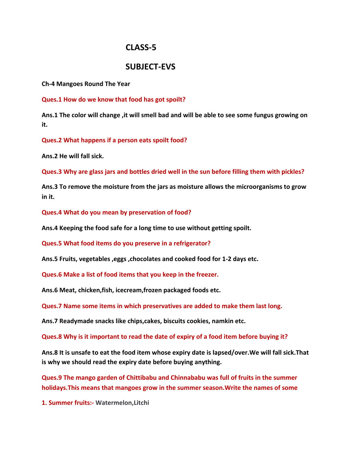# **CLASS-5**

# **SUBJECT-EVS**

**Ch-4 Mangoes Round The Year**

**Ques.1 How do we know that food has got spoilt?**

**Ans.1 The color will change ,it will smell bad and will be able to see some fungus growing on it.**

**Ques.2 What happens if a person eats spoilt food?**

**Ans.2 He will fall sick.**

**Ques.3 Why are glass jars and bottles dried well in the sun before filling them with pickles?**

**Ans.3 To remove the moisture from the jars as moisture allows the microorganisms to grow in it.**

**Ques.4 What do you mean by preservation of food?**

**Ans.4 Keeping the food safe for a long time to use without getting spoilt.**

**Ques.5 What food items do you preserve in a refrigerator?**

**Ans.5 Fruits, vegetables ,eggs ,chocolates and cooked food for 1-2 days etc.**

**Ques.6 Make a list of food items that you keep in the freezer.**

**Ans.6 Meat, chicken,fish, icecream,frozen packaged foods etc.**

**Ques.7 Name some items in which preservatives are added to make them last long.**

**Ans.7 Readymade snacks like chips,cakes, biscuits cookies, namkin etc.**

**Ques.8 Why is it important to read the date of expiry of a food item before buying it?**

**Ans.8 It is unsafe to eat the food item whose expiry date is lapsed/over.We will fall sick.That is why we should read the expiry date before buying anything.**

**Ques.9 The mango garden of Chittibabu and Chinnababu was full of fruits in the summer holidays.This means that mangoes grow in the summer season.Write the names of some**

**1. Summer fruits:- Watermelon,Litchi**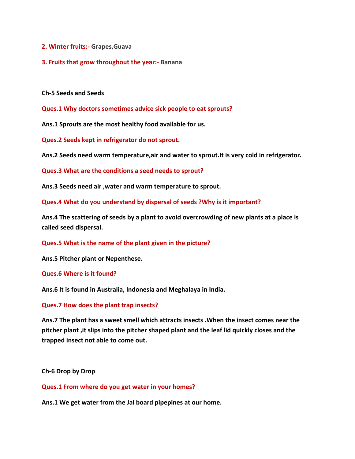- **2. Winter fruits:- Grapes,Guava**
- **3. Fruits that grow throughout the year:- Banana**

**Ch-5 Seeds and Seeds**

**Ques.1 Why doctors sometimes advice sick people to eat sprouts?**

**Ans.1 Sprouts are the most healthy food available for us.**

**Ques.2 Seeds kept in refrigerator do not sprout.**

**Ans.2 Seeds need warm temperature,air and water to sprout.It is very cold in refrigerator.**

**Ques.3 What are the conditions a seed needs to sprout?**

**Ans.3 Seeds need air ,water and warm temperature to sprout.**

**Ques.4 What do you understand by dispersal of seeds ?Why is it important?**

**Ans.4 The scattering of seeds by a plant to avoid overcrowding of new plants at a place is called seed dispersal.**

**Ques.5 What is the name of the plant given in the picture?**

**Ans.5 Pitcher plant or Nepenthese.**

**Ques.6 Where is it found?**

**Ans.6 It is found in Australia, Indonesia and Meghalaya in India.**

**Ques.7 How does the plant trap insects?**

**Ans.7 The plant has a sweet smell which attracts insects .When the insect comes near the pitcher plant ,it slips into the pitcher shaped plant and the leaf lid quickly closes and the trapped insect not able to come out.**

**Ch-6 Drop by Drop**

**Ques.1 From where do you get water in your homes?**

**Ans.1 We get water from the Jal board pipepines at our home.**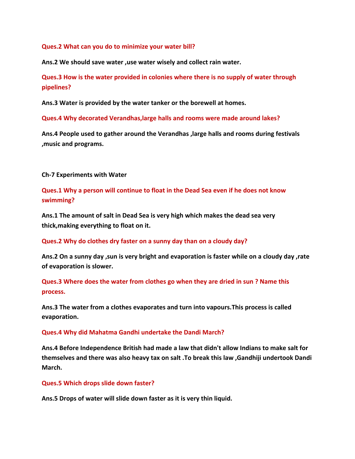#### **Ques.2 What can you do to minimize your water bill?**

**Ans.2 We should save water ,use water wisely and collect rain water.**

**Ques.3 How is the water provided in colonies where there is no supply of water through pipelines?**

**Ans.3 Water is provided by the water tanker or the borewell at homes.**

**Ques.4 Why decorated Verandhas,large halls and rooms were made around lakes?**

**Ans.4 People used to gather around the Verandhas ,large halls and rooms during festivals ,music and programs.**

**Ch-7 Experiments with Water**

**Ques.1 Why a person will continue to float in the Dead Sea even if he does not know swimming?**

**Ans.1 The amount of salt in Dead Sea is very high which makes the dead sea very thick,making everything to float on it.**

**Ques.2 Why do clothes dry faster on a sunny day than on a cloudy day?**

**Ans.2 On a sunny day ,sun is very bright and evaporation is faster while on a cloudy day ,rate of evaporation is slower.**

**Ques.3 Where does the water from clothes go when they are dried in sun ? Name this process.**

**Ans.3 The water from a clothes evaporates and turn into vapours.This process is called evaporation.**

**Ques.4 Why did Mahatma Gandhi undertake the Dandi March?**

**Ans.4 Before Independence British had made a law that didn't allow Indians to make salt for themselves and there was also heavy tax on salt .To break this law ,Gandhiji undertook Dandi March.**

**Ques.5 Which drops slide down faster?**

**Ans.5 Drops of water will slide down faster as it is very thin liquid.**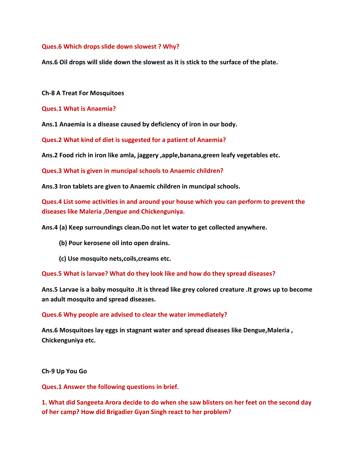## **Ques.6 Which drops slide down slowest ? Why?**

**Ans.6 Oil drops will slide down the slowest as it is stick to the surface of the plate.**

**Ch-8 A Treat For Mosquitoes**

**Ques.1 What is Anaemia?**

**Ans.1 Anaemia is a disease caused by deficiency of iron in our body.**

**Ques.2 What kind of diet is suggested for a patient of Anaemia?**

**Ans.2 Food rich in iron like amla, jaggery ,apple,banana,green leafy vegetables etc.**

**Ques.3 What is given in muncipal schools to Anaemic children?**

**Ans.3 Iron tablets are given to Anaemic children in muncipal schools.**

**Ques.4 List some activities in and around your house which you can perform to prevent the diseases like Maleria ,Dengue and Chickenguniya.**

**Ans.4 (a) Keep surroundings clean.Do not let water to get collected anywhere.**

- **(b) Pour kerosene oil into open drains.**
- **(c) Use mosquito nets,coils,creams etc.**

**Ques.5 What is larvae? What do they look like and how do they spread diseases?**

**Ans.5 Larvae is a baby mosquito .It is thread like grey colored creature .It grows up to become an adult mosquito and spread diseases.**

#### **Ques.6 Why people are advised to clear the water immediately?**

**Ans.6 Mosquitoes lay eggs in stagnant water and spread diseases like Dengue,Maleria , Chickenguniya etc.**

**Ch-9 Up You Go**

**Ques.1 Answer the following questions in brief.**

**1. What did Sangeeta Arora decide to do when she saw blisters on her feet on the second day of her camp? How did Brigadier Gyan Singh react to her problem?**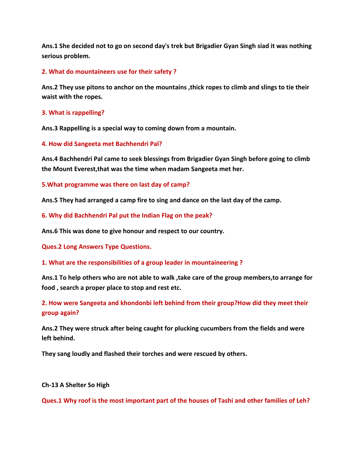**Ans.1 She decided not to go on second day's trek but Brigadier Gyan Singh siad it was nothing serious problem.**

# **2. What do mountaineers use for their safety ?**

**Ans.2 They use pitons to anchor on the mountains ,thick ropes to climb and slings to tie their waist with the ropes.**

### **3. What is rappelling?**

**Ans.3 Rappelling is a special way to coming down from a mountain.**

### **4. How did Sangeeta met Bachhendri Pal?**

**Ans.4 Bachhendri Pal came to seek blessings from Brigadier Gyan Singh before going to climb the Mount Everest,that was the time when madam Sangeeta met her.**

### **5.What programme was there on last day of camp?**

**Ans.5 They had arranged a camp fire to sing and dance on the last day of the camp.**

**6. Why did Bachhendri Pal put the Indian Flag on the peak?**

**Ans.6 This was done to give honour and respect to our country.**

**Ques.2 Long Answers Type Questions.**

**1. What are the responsibilities of a group leader in mountaineering ?**

**Ans.1 To help others who are not able to walk ,take care of the group members,to arrange for food , search a proper place to stop and rest etc.**

**2. How were Sangeeta and khondonbi left behind from their group?How did they meet their group again?**

**Ans.2 They were struck after being caught for plucking cucumbers from the fields and were left behind.**

**They sang loudly and flashed their torches and were rescued by others.**

#### **Ch-13 A Shelter So High**

**Ques.1 Why roof is the most important part of the houses of Tashi and other families of Leh?**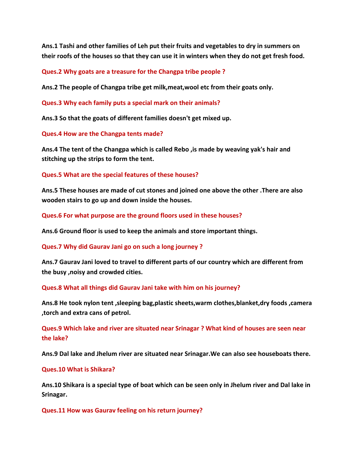**Ans.1 Tashi and other families of Leh put their fruits and vegetables to dry in summers on their roofs of the houses so that they can use it in winters when they do not get fresh food.**

**Ques.2 Why goats are a treasure for the Changpa tribe people ?**

**Ans.2 The people of Changpa tribe get milk,meat,wool etc from their goats only.**

**Ques.3 Why each family puts a special mark on their animals?**

**Ans.3 So that the goats of different families doesn't get mixed up.**

**Ques.4 How are the Changpa tents made?**

**Ans.4 The tent of the Changpa which is called Rebo ,is made by weaving yak's hair and stitching up the strips to form the tent.**

### **Ques.5 What are the special features of these houses?**

**Ans.5 These houses are made of cut stones and joined one above the other .There are also wooden stairs to go up and down inside the houses.**

**Ques.6 For what purpose are the ground floors used in these houses?**

**Ans.6 Ground floor is used to keep the animals and store important things.**

**Ques.7 Why did Gaurav Jani go on such a long journey ?**

**Ans.7 Gaurav Jani loved to travel to different parts of our country which are different from the busy ,noisy and crowded cities.**

**Ques.8 What all things did Gaurav Jani take with him on his journey?**

**Ans.8 He took nylon tent ,sleeping bag,plastic sheets,warm clothes,blanket,dry foods ,camera ,torch and extra cans of petrol.**

**Ques.9 Which lake and river are situated near Srinagar ? What kind of houses are seen near the lake?**

**Ans.9 Dal lake and Jhelum river are situated near Srinagar.We can also see houseboats there.**

#### **Ques.10 What is Shikara?**

**Ans.10 Shikara is a special type of boat which can be seen only in Jhelum river and Dal lake in Srinagar.**

**Ques.11 How was Gaurav feeling on his return journey?**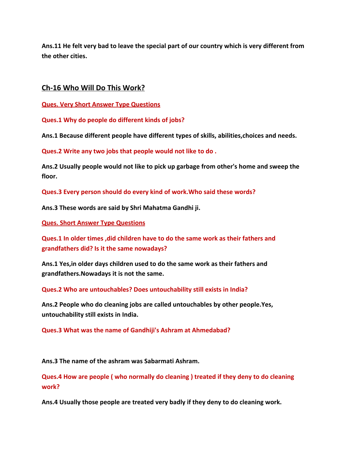**Ans.11 He felt very bad to leave the special part of our country which is very different from the other cities.**

# **Ch-16 Who Will Do This Work?**

**Ques. Very Short Answer Type Questions**

**Ques.1 Why do people do different kinds of jobs?**

**Ans.1 Because different people have different types of skills, abilities,choices and needs.**

**Ques.2 Write any two jobs that people would not like to do .**

**Ans.2 Usually people would not like to pick up garbage from other's home and sweep the floor.**

**Ques.3 Every person should do every kind of work.Who said these words?**

**Ans.3 These words are said by Shri Mahatma Gandhi ji.**

**Ques. Short Answer Type Questions**

**Ques.1 In older times ,did children have to do the same work as their fathers and grandfathers did? Is it the same nowadays?**

**Ans.1 Yes,in older days children used to do the same work as their fathers and grandfathers.Nowadays it is not the same.**

**Ques.2 Who are untouchables? Does untouchability still exists in India?**

**Ans.2 People who do cleaning jobs are called untouchables by other people.Yes, untouchability still exists in India.**

**Ques.3 What was the name of Gandhiji's Ashram at Ahmedabad?**

**Ans.3 The name of the ashram was Sabarmati Ashram.**

**Ques.4 How are people ( who normally do cleaning ) treated if they deny to do cleaning work?**

**Ans.4 Usually those people are treated very badly if they deny to do cleaning work.**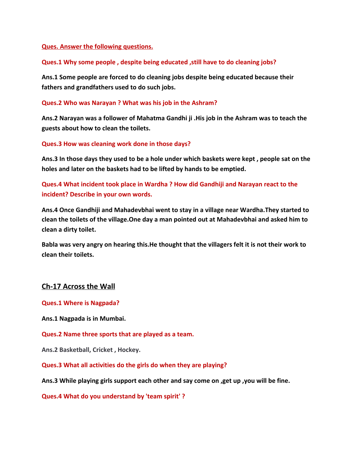## **Ques. Answer the following questions.**

## **Ques.1 Why some people , despite being educated ,still have to do cleaning jobs?**

**Ans.1 Some people are forced to do cleaning jobs despite being educated because their fathers and grandfathers used to do such jobs.**

### **Ques.2 Who was Narayan ? What was his job in the Ashram?**

**Ans.2 Narayan was a follower of Mahatma Gandhi ji .His job in the Ashram was to teach the guests about how to clean the toilets.**

### **Ques.3 How was cleaning work done in those days?**

**Ans.3 In those days they used to be a hole under which baskets were kept , people sat on the holes and later on the baskets had to be lifted by hands to be emptied.**

**Ques.4 What incident took place in Wardha ? How did Gandhiji and Narayan react to the incident? Describe in your own words.**

**Ans.4 Once Gandhiji and Mahadevbhai went to stay in a village near Wardha.They started to clean the toilets of the village.One day a man pointed out at Mahadevbhai and asked him to clean a dirty toilet.**

**Babla was very angry on hearing this.He thought that the villagers felt it is not their work to clean their toilets.**

# **Ch-17 Across the Wall**

**Ques.1 Where is Nagpada?**

**Ans.1 Nagpada is in Mumbai.**

**Ques.2 Name three sports that are played as a team.**

**Ans.2 Basketball, Cricket , Hockey.**

**Ques.3 What all activities do the girls do when they are playing?**

**Ans.3 While playing girls support each other and say come on ,get up ,you will be fine.**

**Ques.4 What do you understand by 'team spirit' ?**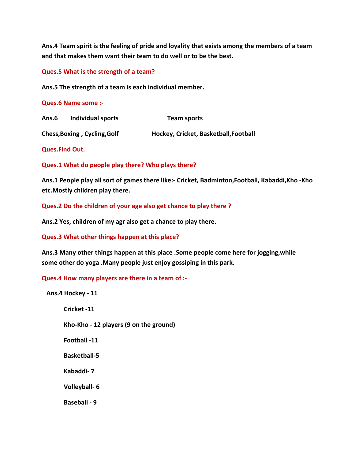**Ans.4 Team spirit is the feeling of pride and loyality that exists among the members of a team and that makes them want their team to do well or to be the best.**

**Ques.5 What is the strength of a team?**

**Ans.5 The strength of a team is each individual member.**

**Ques.6 Name some :-**

| Ans.6                        | Individual sports | Team sports                           |
|------------------------------|-------------------|---------------------------------------|
| Chess, Boxing, Cycling, Golf |                   | Hockey, Cricket, Basketball, Football |

**Ques.Find Out.**

**Ques.1 What do people play there? Who plays there?**

**Ans.1 People play all sort of games there like:- Cricket, Badminton,Football, Kabaddi,Kho -Kho etc.Mostly children play there.**

**Ques.2 Do the children of your age also get chance to play there ?**

**Ans.2 Yes, children of my agr also get a chance to play there.**

**Ques.3 What other things happen at this place?**

**Ans.3 Many other things happen at this place .Some people come here for jogging,while some other do yoga .Many people just enjoy gossiping in this park.**

**Ques.4 How many players are there in a team of :-**

 **Ans.4 Hockey - 11**

 **Cricket -11**

 **Kho-Kho - 12 players (9 on the ground)**

 **Football -11**

 **Basketball-5**

 **Kabaddi- 7**

 **Volleyball- 6**

 **Baseball - 9**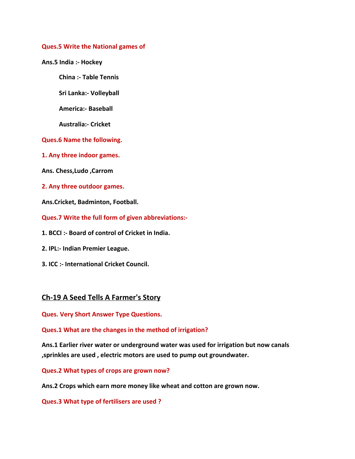#### **Ques.5 Write the National games of**

**Ans.5 India :- Hockey**

 **China :- Table Tennis**

 **Sri Lanka:- Volleyball**

 **America:- Baseball**

 **Australia:- Cricket**

**Ques.6 Name the following.**

**1. Any three indoor games.**

**Ans. Chess,Ludo ,Carrom**

**2. Any three outdoor games.**

**Ans.Cricket, Badminton, Football.**

**Ques.7 Write the full form of given abbreviations:-**

- **1. BCCI :- Board of control of Cricket in India.**
- **2. IPL:- Indian Premier League.**
- **3. ICC :- International Cricket Council.**

# **Ch-19 A Seed Tells A Farmer's Story**

**Ques. Very Short Answer Type Questions.**

**Ques.1 What are the changes in the method of irrigation?**

**Ans.1 Earlier river water or underground water was used for irrigation but now canals ,sprinkles are used , electric motors are used to pump out groundwater.**

**Ques.2 What types of crops are grown now?**

**Ans.2 Crops which earn more money like wheat and cotton are grown now.**

**Ques.3 What type of fertilisers are used ?**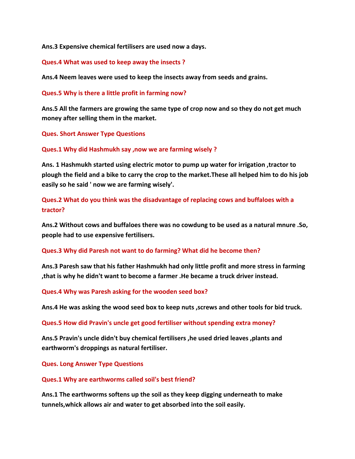**Ans.3 Expensive chemical fertilisers are used now a days.**

### **Ques.4 What was used to keep away the insects ?**

**Ans.4 Neem leaves were used to keep the insects away from seeds and grains.**

**Ques.5 Why is there a little profit in farming now?**

**Ans.5 All the farmers are growing the same type of crop now and so they do not get much money after selling them in the market.**

**Ques. Short Answer Type Questions**

### **Ques.1 Why did Hashmukh say ,now we are farming wisely ?**

**Ans. 1 Hashmukh started using electric motor to pump up water for irrigation ,tractor to plough the field and a bike to carry the crop to the market.These all helped him to do his job easily so he said ' now we are farming wisely'.**

# **Ques.2 What do you think was the disadvantage of replacing cows and buffaloes with a tractor?**

**Ans.2 Without cows and buffaloes there was no cowdung to be used as a natural mnure .So, people had to use expensive fertilisers.**

#### **Ques.3 Why did Paresh not want to do farming? What did he become then?**

**Ans.3 Paresh saw that his father Hashmukh had only little profit and more stress in farming ,that is why he didn't want to become a farmer .He became a truck driver instead.**

# **Ques.4 Why was Paresh asking for the wooden seed box?**

**Ans.4 He was asking the wood seed box to keep nuts ,screws and other tools for bid truck.**

#### **Ques.5 How did Pravin's uncle get good fertiliser without spending extra money?**

**Ans.5 Pravin's uncle didn't buy chemical fertilisers ,he used dried leaves ,plants and earthworm's droppings as natural fertiliser.**

**Ques. Long Answer Type Questions**

#### **Ques.1 Why are earthworms called soil's best friend?**

**Ans.1 The earthworms softens up the soil as they keep digging underneath to make tunnels,whick allows air and water to get absorbed into the soil easily.**